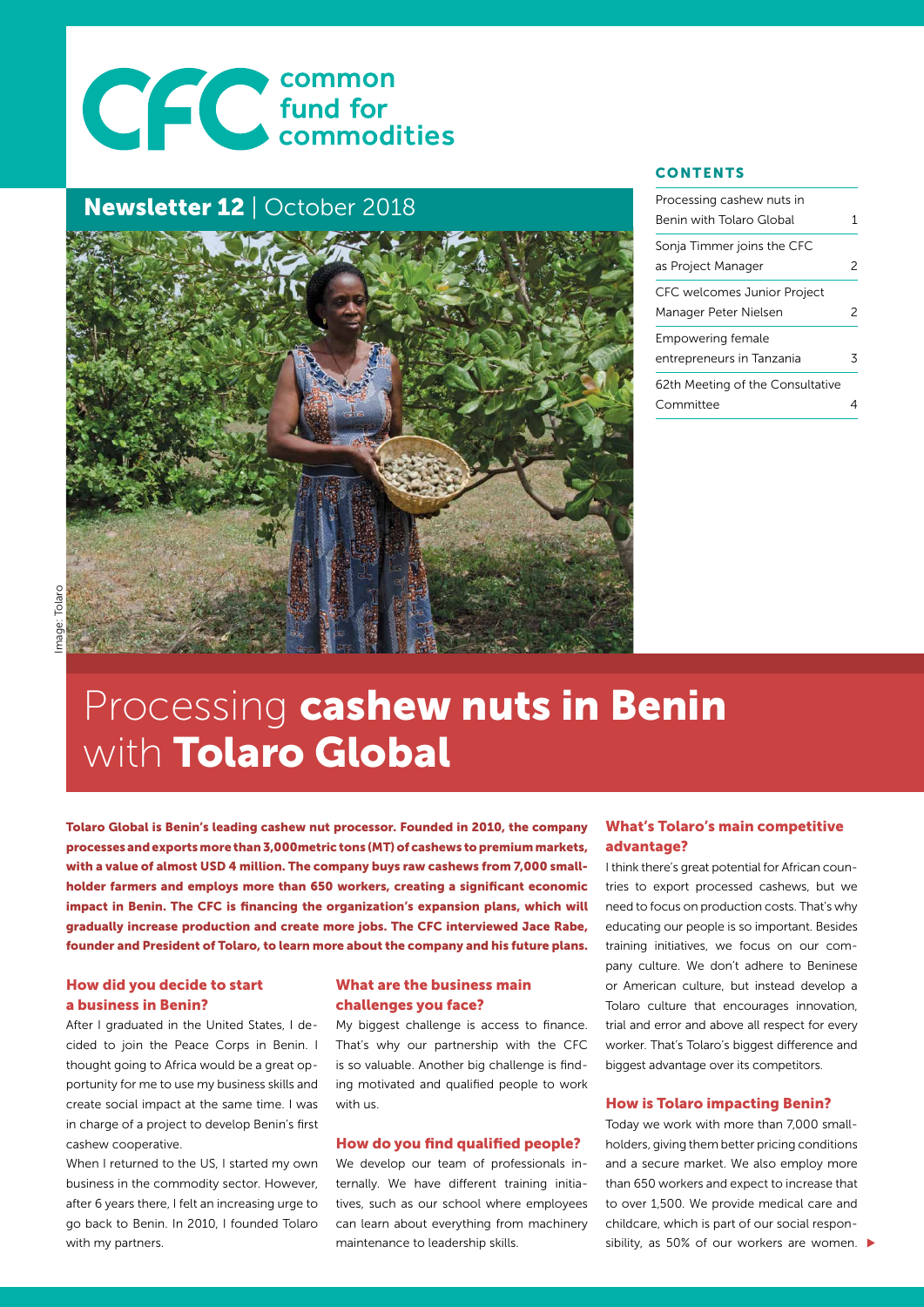# CCC common<br>Commodities

## Newsletter 12 | October 2018



### **CONTENTS**

| Processing cashew nuts in<br>Benin with Tolaro Global | 1 |
|-------------------------------------------------------|---|
| Sonja Timmer joins the CFC<br>as Project Manager      | 2 |
| CFC welcomes Junior Project<br>Manager Peter Nielsen  | 2 |
| Empowering female<br>entrepreneurs in Tanzania        | 3 |
| 62th Meeting of the Consultative<br>Committee         |   |

# Processing cashew nuts in Benin with Tolaro Global

Tolaro Global is Benin's leading cashew nut processor. Founded in 2010, the company processes and exports more than 3,000metric tons (MT) of cashews to premium markets, with a value of almost USD 4 million. The company buys raw cashews from 7,000 smallholder farmers and employs more than 650 workers, creating a significant economic impact in Benin. The CFC is financing the organization's expansion plans, which will gradually increase production and create more jobs. The CFC interviewed Jace Rabe, founder and President of Tolaro, to learn more about the company and his future plans.

## How did you decide to start a business in Benin?

After I graduated in the United States, I decided to join the Peace Corps in Benin. I thought going to Africa would be a great opportunity for me to use my business skills and create social impact at the same time. I was in charge of a project to develop Benin's first cashew cooperative.

When I returned to the US, I started my own business in the commodity sector. However, after 6 years there, I felt an increasing urge to go back to Benin. In 2010, I founded Tolaro with my partners.

## What are the business main challenges you face?

My biggest challenge is access to finance. That's why our partnership with the CFC is so valuable. Another big challenge is finding motivated and qualified people to work with us.

#### How do you find qualified people?

We develop our team of professionals internally. We have different training initiatives, such as our school where employees can learn about everything from machinery maintenance to leadership skills.

## What's Tolaro's main competitive advantage?

I think there's great potential for African countries to export processed cashews, but we need to focus on production costs. That's why educating our people is so important. Besides training initiatives, we focus on our company culture. We don't adhere to Beninese or American culture, but instead develop a Tolaro culture that encourages innovation, trial and error and above all respect for every worker. That's Tolaro's biggest difference and biggest advantage over its competitors.

#### How is Tolaro impacting Benin?

Today we work with more than 7,000 smallholders, giving them better pricing conditions and a secure market. We also employ more than 650 workers and expect to increase that to over 1,500. We provide medical care and childcare, which is part of our social responsibility, as 50% of our workers are women.  $\blacktriangleright$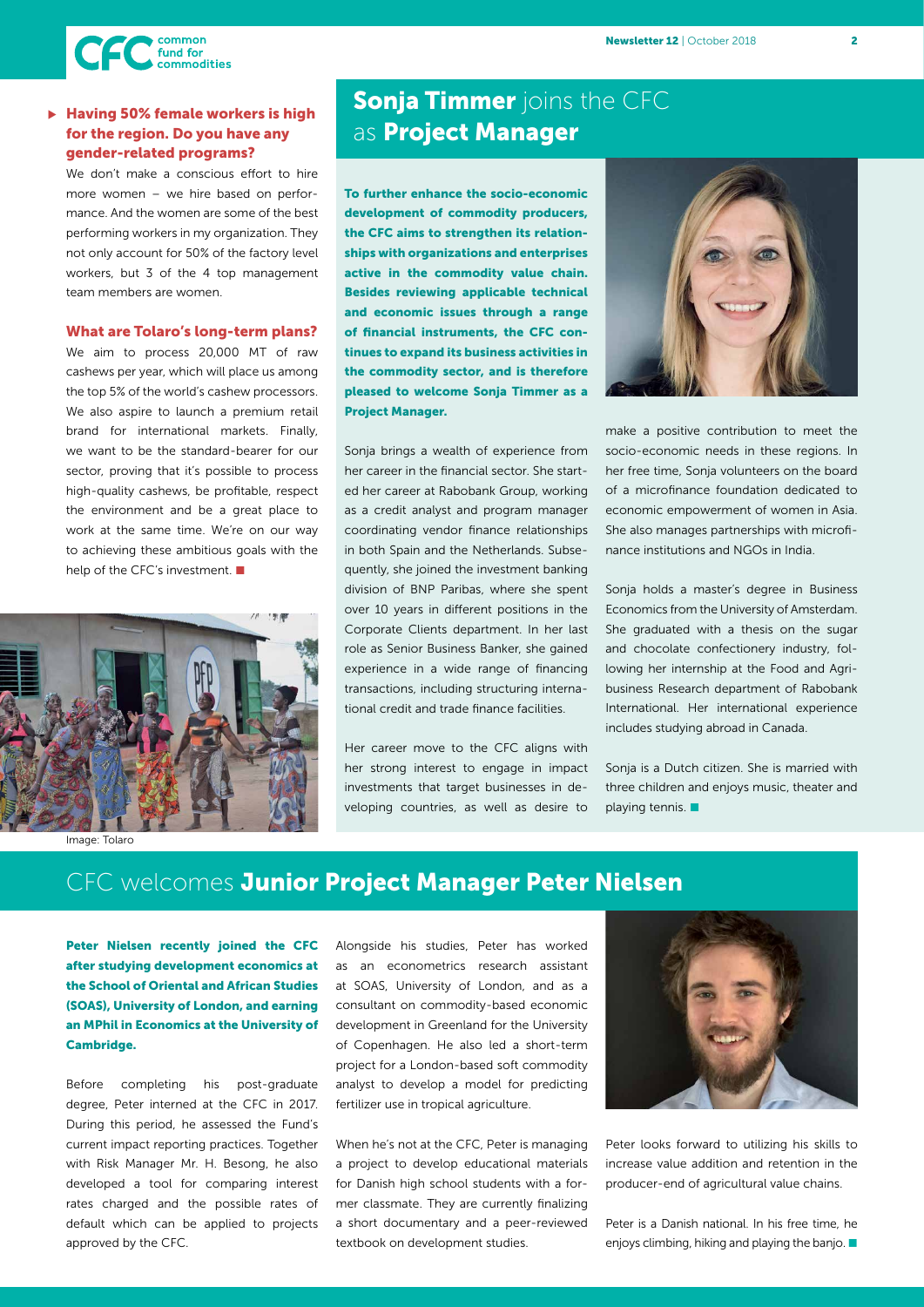

## > Having 50% female workers is high for the region. Do you have any gender-related programs?

We don't make a conscious effort to hire more women – we hire based on performance. And the women are some of the best performing workers in my organization. They not only account for 50% of the factory level workers, but 3 of the 4 top management team members are women.

#### What are Tolaro's long-term plans?

We aim to process 20,000 MT of raw cashews per year, which will place us among the top 5% of the world's cashew processors. We also aspire to launch a premium retail brand for international markets. Finally, we want to be the standard-bearer for our sector, proving that it's possible to process high-quality cashews, be profitable, respect the environment and be a great place to work at the same time. We're on our way to achieving these ambitious goals with the help of the CFC's investment.



Image: Tolaro

## **Sonja Timmer** joins the CFC as Project Manager

To further enhance the socio-economic development of commodity producers, the CFC aims to strengthen its relationships with organizations and enterprises active in the commodity value chain. Besides reviewing applicable technical and economic issues through a range of financial instruments, the CFC continues to expand its business activities in the commodity sector, and is therefore pleased to welcome Sonja Timmer as a Project Manager.

Sonja brings a wealth of experience from her career in the financial sector. She started her career at Rabobank Group, working as a credit analyst and program manager coordinating vendor finance relationships in both Spain and the Netherlands. Subsequently, she joined the investment banking division of BNP Paribas, where she spent over 10 years in different positions in the Corporate Clients department. In her last role as Senior Business Banker, she gained experience in a wide range of financing transactions, including structuring international credit and trade finance facilities.

Her career move to the CFC aligns with her strong interest to engage in impact investments that target businesses in developing countries, as well as desire to



make a positive contribution to meet the socio-economic needs in these regions. In her free time, Sonja volunteers on the board of a microfinance foundation dedicated to economic empowerment of women in Asia. She also manages partnerships with microfinance institutions and NGOs in India.

Sonja holds a master's degree in Business Economics from the University of Amsterdam. She graduated with a thesis on the sugar and chocolate confectionery industry, following her internship at the Food and Agribusiness Research department of Rabobank International. Her international experience includes studying abroad in Canada.

Sonia is a Dutch citizen. She is married with three children and enjoys music, theater and playing tennis.  $\blacksquare$ 

## CFC welcomes Junior Project Manager Peter Nielsen

Peter Nielsen recently joined the CFC after studying development economics at the School of Oriental and African Studies (SOAS), University of London, and earning an MPhil in Economics at the University of Cambridge.

Before completing his post-graduate degree, Peter interned at the CFC in 2017. During this period, he assessed the Fund's current impact reporting practices. Together with Risk Manager Mr. H. Besong, he also developed a tool for comparing interest rates charged and the possible rates of default which can be applied to projects approved by the CFC.

Alongside his studies, Peter has worked as an econometrics research assistant at SOAS, University of London, and as a consultant on commodity-based economic development in Greenland for the University of Copenhagen. He also led a short-term project for a London-based soft commodity analyst to develop a model for predicting fertilizer use in tropical agriculture.

When he's not at the CFC, Peter is managing a project to develop educational materials for Danish high school students with a former classmate. They are currently finalizing a short documentary and a peer-reviewed textbook on development studies.



Peter looks forward to utilizing his skills to increase value addition and retention in the producer-end of agricultural value chains.

Peter is a Danish national. In his free time, he enjoys climbing, hiking and playing the banjo.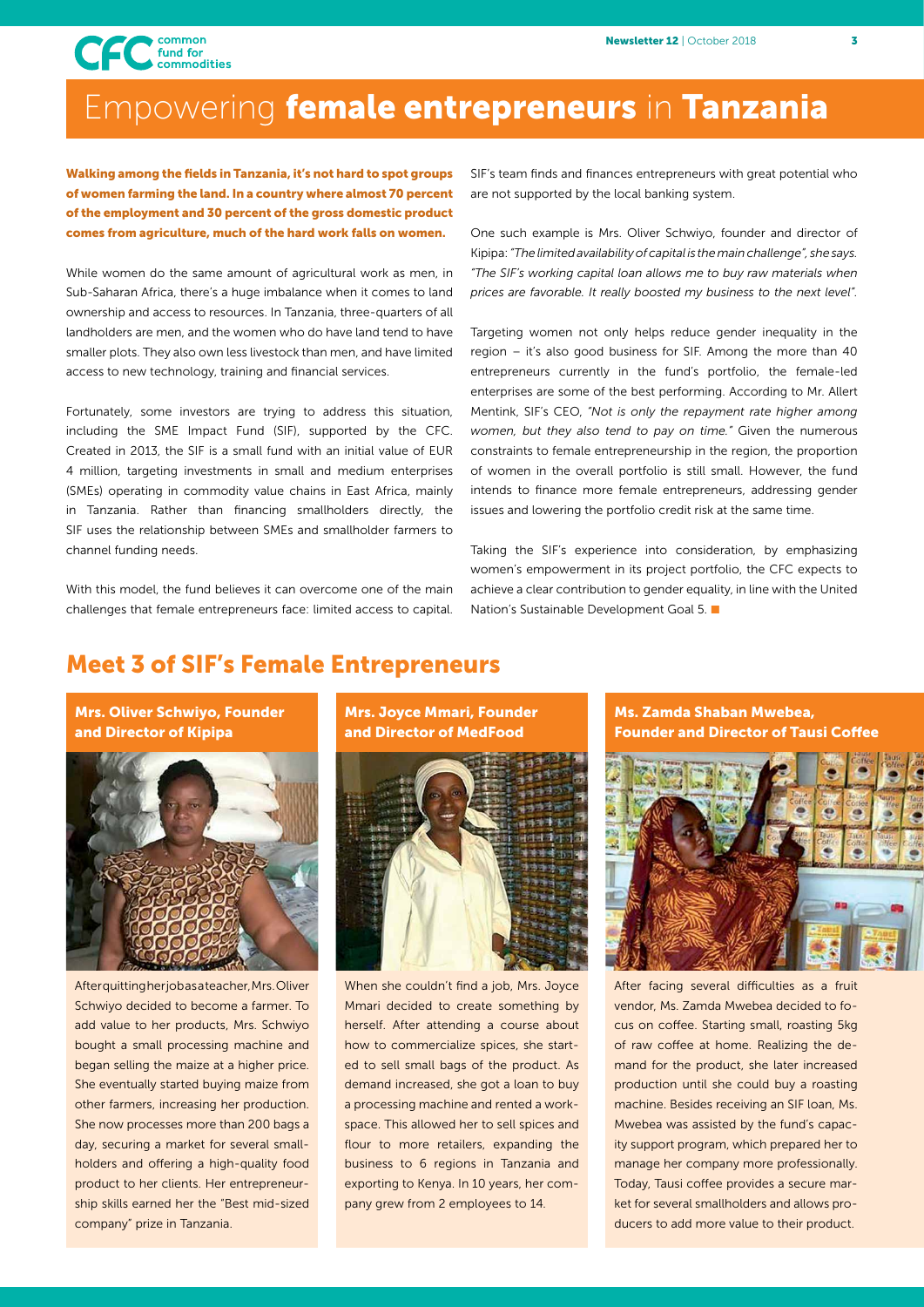

## Empowering female entrepreneurs in Tanzania

Walking among the fields in Tanzania, it's not hard to spot groups of women farming the land. In a country where almost 70 percent of the employment and 30 percent of the gross domestic product comes from agriculture, much of the hard work falls on women.

While women do the same amount of agricultural work as men, in Sub-Saharan Africa, there's a huge imbalance when it comes to land ownership and access to resources. In Tanzania, three-quarters of all landholders are men, and the women who do have land tend to have smaller plots. They also own less livestock than men, and have limited access to new technology, training and financial services.

Fortunately, some investors are trying to address this situation, including the SME Impact Fund (SIF), supported by the CFC. Created in 2013, the SIF is a small fund with an initial value of EUR 4 million, targeting investments in small and medium enterprises (SMEs) operating in commodity value chains in East Africa, mainly in Tanzania. Rather than financing smallholders directly, the SIF uses the relationship between SMEs and smallholder farmers to channel funding needs.

With this model, the fund believes it can overcome one of the main challenges that female entrepreneurs face: limited access to capital.

SIF's team finds and finances entrepreneurs with great potential who are not supported by the local banking system.

One such example is Mrs. Oliver Schwiyo, founder and director of Kipipa: *"The limited availability of capital is the main challenge", she says. "The SIF's working capital loan allows me to buy raw materials when prices are favorable. It really boosted my business to the next level".*

Targeting women not only helps reduce gender inequality in the region – it's also good business for SIF. Among the more than 40 entrepreneurs currently in the fund's portfolio, the female-led enterprises are some of the best performing. According to Mr. Allert Mentink, SIF's CEO, *"Not is only the repayment rate higher among women, but they also tend to pay on time."* Given the numerous constraints to female entrepreneurship in the region, the proportion of women in the overall portfolio is still small. However, the fund intends to finance more female entrepreneurs, addressing gender issues and lowering the portfolio credit risk at the same time.

Taking the SIF's experience into consideration, by emphasizing women's empowerment in its project portfolio, the CFC expects to achieve a clear contribution to gender equality, in line with the United Nation's Sustainable Development Goal 5. ■

## Meet 3 of SIF's Female Entrepreneurs



After quitting her job as a teacher, Mrs. Oliver Schwiyo decided to become a farmer. To add value to her products, Mrs. Schwiyo bought a small processing machine and began selling the maize at a higher price. She eventually started buying maize from other farmers, increasing her production. She now processes more than 200 bags a day, securing a market for several smallholders and offering a high-quality food product to her clients. Her entrepreneurship skills earned her the "Best mid-sized company" prize in Tanzania.

Mrs. Joyce Mmari, Founder and Director of MedFood



When she couldn't find a job, Mrs. Joyce Mmari decided to create something by herself. After attending a course about how to commercialize spices, she started to sell small bags of the product. As demand increased, she got a loan to buy a processing machine and rented a workspace. This allowed her to sell spices and flour to more retailers, expanding the business to 6 regions in Tanzania and exporting to Kenya. In 10 years, her company grew from 2 employees to 14.

Ms. Zamda Shaban Mwebea, Founder and Director of Tausi Coffee



After facing several difficulties as a fruit vendor, Ms. Zamda Mwebea decided to focus on coffee. Starting small, roasting 5kg of raw coffee at home. Realizing the demand for the product, she later increased production until she could buy a roasting machine. Besides receiving an SIF loan, Ms. Mwebea was assisted by the fund's capacity support program, which prepared her to manage her company more professionally. Today, Tausi coffee provides a secure market for several smallholders and allows producers to add more value to their product.